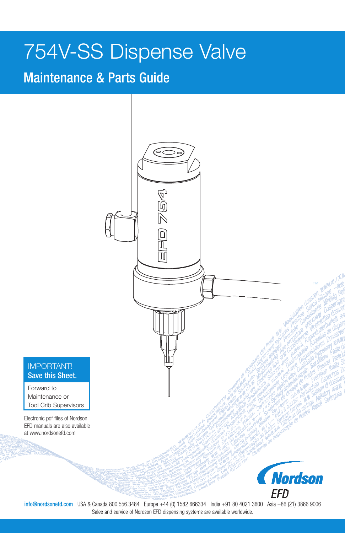## 754V-SS Dispense Valve

### Maintenance & Parts Guide

# 754  $\frac{1}{\sqrt{2}}$ Save this Sheet. Tool Crib SupervisorsElectronic pdf files of Nordson EFD manuals are also available at www.nordsonefd.com *Nordson* EFD

IMPORTANT!

Forward to Maintenance or

info@nordsonefd.com USA & Canada 800.556.3484 Europe +44 (0) 1582 666334 India +91 80 4021 3600 Asia +86 (21) 3866 9006 Sales and service of Nordson EFD dispensing systems are available worldwide.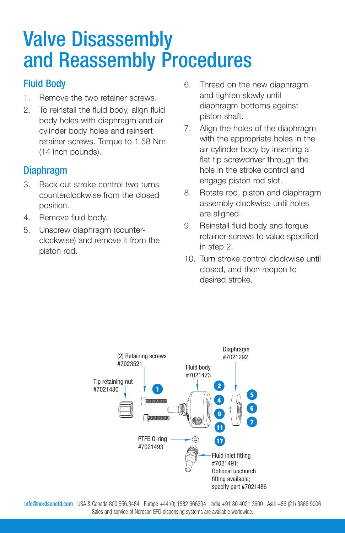### Valve Disassembly and Reassembly Procedures

### Fluid Body

- 1. Remove the two retainer screws.
- 2. To reinstall the fluid body, align fluid body holes with diaphragm and air cylinder body holes and reinsert retainer screws. Torque to 1.58 Nm (14 inch pounds).

### Diaphragm

- 3. Back out stroke control two turns counterclockwise from the closed position.
- 4. Remove fluid body.
- 5. Unscrew diaphragm (counterclockwise) and remove it from the piston rod.
- 6. Thread on the new diaphragm and tighten slowly until diaphragm bottoms against piston shaft.
- 7. Align the holes of the diaphragm with the appropriate holes in the air cylinder body by inserting a flat tip screwdriver through the hole in the stroke control and engage piston rod slot.
- 8. Rotate rod, piston and diaphragm assembly clockwise until holes are aligned.
- 9. Reinstall fluid body and torque retainer screws to value specified in step 2.
- 10. Turn stroke control clockwise until closed, and then reopen to desired stroke.

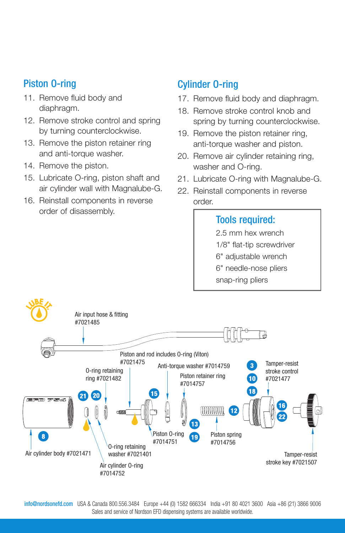### Piston O-ring

- 11. Remove fluid body and diaphragm.
- 12. Remove stroke control and spring by turning counterclockwise.
- 13. Remove the piston retainer ring and anti-torque washer.
- 14. Remove the piston.
- 15. Lubricate O-ring, piston shaft and air cylinder wall with Magnalube-G.
- 16. Reinstall components in reverse order of disassembly.

### Cylinder O-ring

- 17. Remove fluid body and diaphragm.
- 18. Remove stroke control knob and spring by turning counterclockwise.
- 19. Remove the piston retainer ring, anti-torque washer and piston.
- 20. Remove air cylinder retaining ring, washer and O-ring.
- 21. Lubricate O-ring with Magnalube-G.
- 22. Reinstall components in reverse order.

#### Tools required:

2.5 mm hex wrench 1/8" flat-tip screwdriver 6" adjustable wrench 6" needle-nose pliers snap-ring pliers



info@nordsonefd.com USA & Canada 800.556.3484 Europe +44 (0) 1582 666334 India +91 80 4021 3600 Asia +86 (21) 3866 9006 Sales and service of Nordson EFD dispensing systems are available worldwide.